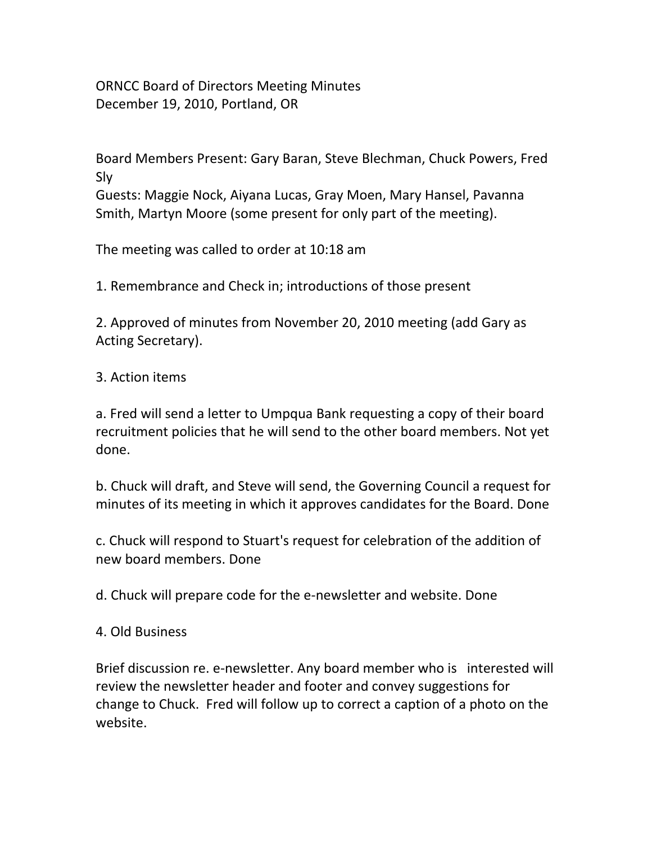ORNCC Board of Directors Meeting Minutes December 19, 2010, Portland, OR

Board Members Present: Gary Baran, Steve Blechman, Chuck Powers, Fred Sly Guests: Maggie Nock, Aiyana Lucas, Gray Moen, Mary Hansel, Pavanna Smith, Martyn Moore (some present for only part of the meeting).

The meeting was called to order at 10:18 am

1. Remembrance and Check in; introductions of those present

2. Approved of minutes from November 20, 2010 meeting (add Gary as Acting Secretary).

3. Action items

a. Fred will send a letter to Umpqua Bank requesting a copy of their board recruitment policies that he will send to the other board members. Not yet done.

b. Chuck will draft, and Steve will send, the Governing Council a request for minutes of its meeting in which it approves candidates for the Board. Done

c. Chuck will respond to Stuart's request for celebration of the addition of new board members. Done

d. Chuck will prepare code for the e‐newsletter and website. Done

4. Old Business

Brief discussion re. e-newsletter. Any board member who is interested will review the newsletter header and footer and convey suggestions for change to Chuck. Fred will follow up to correct a caption of a photo on the website.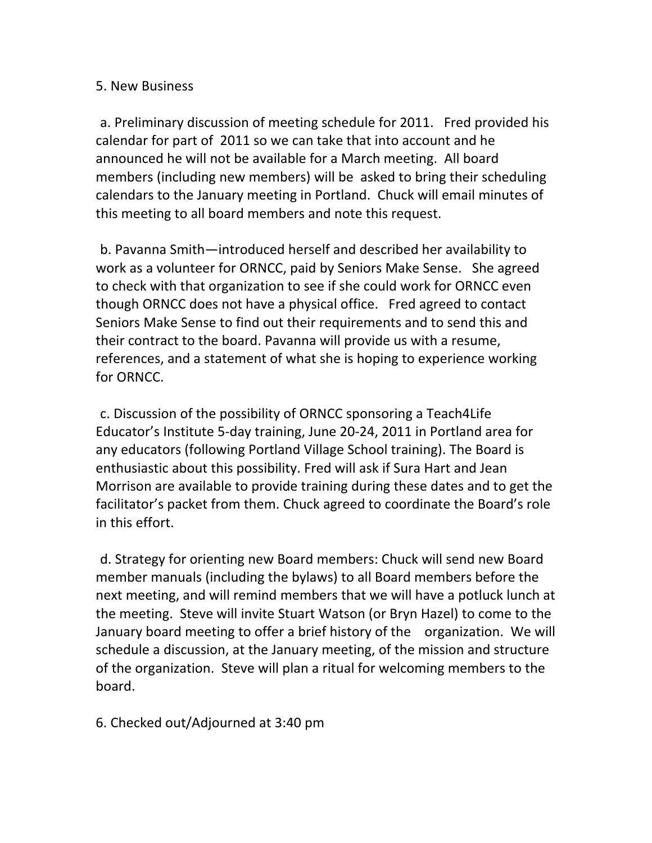## 5. New Business

a. Preliminary discussion of meeting schedule for 2011. Fred provided his calendar for part of 2011 so we can take that into account and he announced he will not be available for a March meeting. All board members (including new members) will be asked to bring their scheduling calendars to the January meeting in Portland. Chuck will email minutes of this meeting to all board members and note this request.

b. Pavanna Smith—introduced herself and described her availability to work as a volunteer for ORNCC, paid by Seniors Make Sense. She agreed to check with that organization to see if she could work for ORNCC even though ORNCC does not have a physical office. Fred agreed to contact Seniors Make Sense to find out their requirements and to send this and their contract to the board. Pavanna will provide us with a resume, references, and a statement of what she is hoping to experience working for ORNCC.

c. Discussion of the possibility of ORNCC sponsoring a Teach4Life Educator's Institute 5‐day training, June 20‐24, 2011 in Portland area for any educators (following Portland Village School training). The Board is enthusiastic about this possibility. Fred will ask if Sura Hart and Jean Morrison are available to provide training during these dates and to get the facilitator's packet from them. Chuck agreed to coordinate the Board's role in this effort.

d. Strategy for orienting new Board members: Chuck will send new Board member manuals (including the bylaws) to all Board members before the next meeting, and will remind members that we will have a potluck lunch at the meeting. Steve will invite Stuart Watson (or Bryn Hazel) to come to the January board meeting to offer a brief history of the organization. We will schedule a discussion, at the January meeting, of the mission and structure of the organization. Steve will plan a ritual for welcoming members to the board.

6. Checked out/Adjourned at 3:40 pm